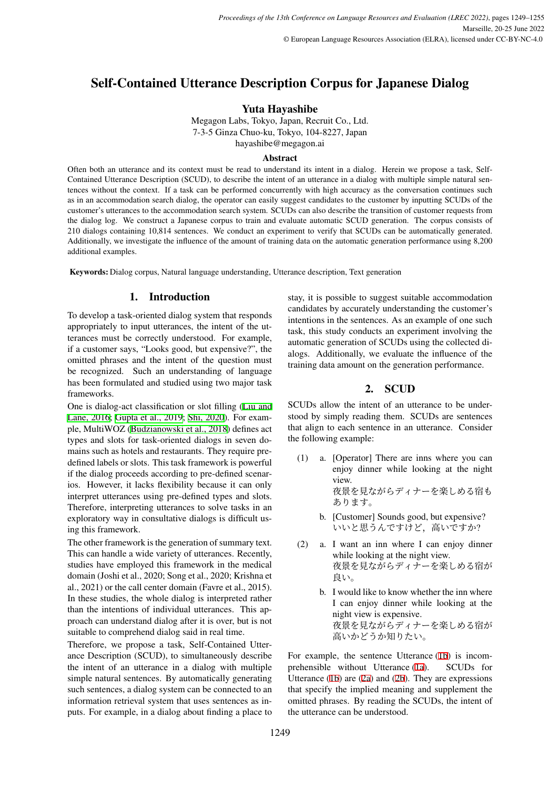# Self-Contained Utterance Description Corpus for Japanese Dialog

Yuta Hayashibe

Megagon Labs, Tokyo, Japan, Recruit Co., Ltd. 7-3-5 Ginza Chuo-ku, Tokyo, 104-8227, Japan hayashibe@megagon.ai

# Abstract

Often both an utterance and its context must be read to understand its intent in a dialog. Herein we propose a task, Self-Contained Utterance Description (SCUD), to describe the intent of an utterance in a dialog with multiple simple natural sentences without the context. If a task can be performed concurrently with high accuracy as the conversation continues such as in an accommodation search dialog, the operator can easily suggest candidates to the customer by inputting SCUDs of the customer's utterances to the accommodation search system. SCUDs can also describe the transition of customer requests from the dialog log. We construct a Japanese corpus to train and evaluate automatic SCUD generation. The corpus consists of 210 dialogs containing 10,814 sentences. We conduct an experiment to verify that SCUDs can be automatically generated. Additionally, we investigate the influence of the amount of training data on the automatic generation performance using 8,200 additional examples.

Keywords: Dialog corpus, Natural language understanding, Utterance description, Text generation

# 1. Introduction

To develop a task-oriented dialog system that responds appropriately to input utterances, the intent of the utterances must be correctly understood. For example, if a customer says, "Looks good, but expensive?", the omitted phrases and the intent of the question must be recognized. Such an understanding of language has been formulated and studied using two major task frameworks.

One is dialog-act classification or slot filling ([Liu and](#page-6-0) [Lane, 2016](#page-6-0); [Gupta et al., 2019;](#page-6-1) [Shi, 2020](#page-6-2)). For example, MultiWOZ [\(Budzianowski et al., 2018](#page-5-0)) defines act types and slots for task-oriented dialogs in seven domains such as hotels and restaurants. They require predefined labels or slots. This task framework is powerful if the dialog proceeds according to pre-defined scenarios. However, it lacks flexibility because it can only interpret utterances using pre-defined types and slots. Therefore, interpreting utterances to solve tasks in an exploratory way in consultative dialogs is difficult using this framework.

The other framework is the generation of summary text. This can handle a wide variety of utterances. Recently, studies have employed this framework in the medical domain (Joshi et al., 2020; Song et al., 2020; Krishna et al., 2021) or the call center domain (Favre et al., 2015). In these studies, the whole dialog is interpreted rather than the intentions of individual utterances. This approach can understand dialog after it is over, but is not suitable to comprehend dialog said in real time.

Therefore, we propose a task, Self-Contained Utterance Description (SCUD), to simultaneously describe the intent of an utterance in a dialog with multiple simple natural sentences. By automatically generating such sentences, a dialog system can be connected to an information retrieval system that uses sentences as inputs. For example, in a dialog about finding a place to stay, it is possible to suggest suitable accommodation candidates by accurately understanding the customer's intentions in the sentences. As an example of one such task, this study conducts an experiment involving the automatic generation of SCUDs using the collected dialogs. Additionally, we evaluate the influence of the training data amount on the generation performance.

# 2. SCUD

SCUDs allow the intent of an utterance to be understood by simply reading them. SCUDs are sentences that align to each sentence in an utterance. Consider the following example:

- <span id="page-0-1"></span>(1) a. [Operator] There are inns where you can enjoy dinner while looking at the night view. 夜景を見ながらディナーを楽しめる宿も あります。
	- b. [Customer] Sounds good, but expensive? いいと思うんですけど,高いですか?
- <span id="page-0-3"></span><span id="page-0-2"></span><span id="page-0-0"></span>(2) a. I want an inn where I can enjoy dinner while looking at the night view. 夜景を見ながらディナーを楽しめる宿が 良い。
	- b. I would like to know whether the inn where I can enjoy dinner while looking at the night view is expensive. 夜景を見ながらディナーを楽しめる宿が 高いかどうか知りたい。

For example, the sentence Utterance ([1b\)](#page-0-0) is incomprehensible without Utterance ([1a](#page-0-1)). SCUDs for Utterance ([1b\)](#page-0-0) are ([2a](#page-0-2)) and ([2b\)](#page-0-3). They are expressions that specify the implied meaning and supplement the omitted phrases. By reading the SCUDs, the intent of the utterance can be understood.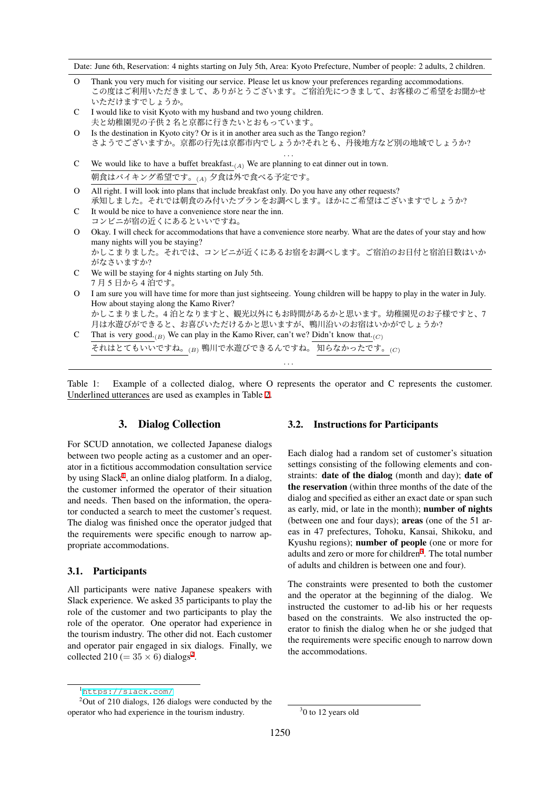Date: June 6th, Reservation: 4 nights starting on July 5th, Area: Kyoto Prefecture, Number of people: 2 adults, 2 children.

- O Thank you very much for visiting our service. Please let us know your preferences regarding accommodations. この度はご利用いただきまして、ありがとうございます。ご宿泊先につきまして、お客様のご希望をお聞かせ いただけますでしょうか。
- C I would like to visit Kyoto with my husband and two young children. 夫と幼稚園児の子供 2 名と京都に行きたいとおもっています。
- O Is the destination in Kyoto city? Or is it in another area such as the Tango region? さようでございますか。京都の行先は京都市内でしょうか?それとも、丹後地方など別の地域でしょうか?

*. . .*

- C We would like to have a buffet breakfast.(*A*) We are planning to eat dinner out in town. 朝食はバイキング希望です。(*A*) 夕食は外で食べる予定です。
- O All right. I will look into plans that include breakfast only. Do you have any other requests? 承知しました。それでは朝食のみ付いたプランをお調べします。ほかにご希望はございますでしょうか?
- C It would be nice to have a convenience store near the inn. コンビニが宿の近くにあるといいですね。
- O Okay. I will check for accommodations that have a convenience store nearby. What are the dates of your stay and how many nights will you be staying? かしこまりました。それでは、コンビニが近くにあるお宿をお調べします。ご宿泊のお日付と宿泊日数はいか がなさいますか?
- C We will be staying for 4 nights starting on July 5th. 7 月 5 日から 4 泊です。
- O I am sure you will have time for more than just sightseeing. Young children will be happy to play in the water in July. How about staying along the Kamo River? かしこまりました。4 泊となりますと、観光以外にもお時間があるかと思います。幼稚園児のお子様ですと、7 月は水遊びができると、お喜びいただけるかと思いますが、鴨川沿いのお宿はいかがでしょうか?
- C That is very good. $(B)$  We can play in the Kamo River, can't we? Didn't know that. $(C)$ それはとてもいいですね。(*B*) 鴨川で水遊びできるんですね。 知らなかったです。(*C*) *. . .*

<span id="page-1-3"></span>Table 1: Example of a collected dialog, where O represents the operator and C represents the customer. Underlined utterances are used as examples in Table [2.](#page-2-0)

# 3. Dialog Collection

For SCUD annotation, we collected Japanese dialogs between two people acting as a customer and an operator in a fictitious accommodation consultation service by using Slack<sup>[1](#page-1-0)</sup>, an online dialog platform. In a dialog, the customer informed the operator of their situation and needs. Then based on the information, the operator conducted a search to meet the customer's request. The dialog was finished once the operator judged that the requirements were specific enough to narrow appropriate accommodations.

#### 3.1. Participants

All participants were native Japanese speakers with Slack experience. We asked 35 participants to play the role of the customer and two participants to play the role of the operator. One operator had experience in the tourism industry. The other did not. Each customer and operator pair engaged in six dialogs. Finally, we collected [2](#page-1-1)10 (=  $35 \times 6$ ) dialogs<sup>2</sup>.

# 3.2. Instructions for Participants

Each dialog had a random set of customer's situation settings consisting of the following elements and constraints: date of the dialog (month and day); date of the reservation (within three months of the date of the dialog and specified as either an exact date or span such as early, mid, or late in the month); number of nights (between one and four days); areas (one of the 51 areas in 47 prefectures, Tohoku, Kansai, Shikoku, and Kyushu regions); number of people (one or more for adults and zero or more for children<sup>[3](#page-1-2)</sup>. The total number of adults and children is between one and four).

The constraints were presented to both the customer and the operator at the beginning of the dialog. We instructed the customer to ad-lib his or her requests based on the constraints. We also instructed the operator to finish the dialog when he or she judged that the requirements were specific enough to narrow down the accommodations.

<span id="page-1-1"></span><span id="page-1-0"></span><sup>1</sup><https://slack.com/>

 $2$ Out of 210 dialogs, 126 dialogs were conducted by the operator who had experience in the tourism industry.

<span id="page-1-2"></span><sup>&</sup>lt;sup>3</sup>0 to 12 years old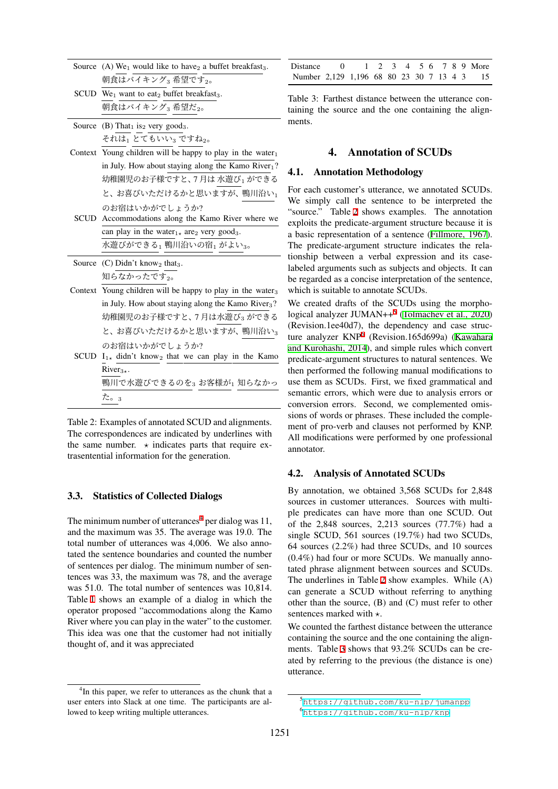| Source (A) We <sub>1</sub> would like to have <sub>2</sub> a buffet breakfast <sub>3</sub> . |
|----------------------------------------------------------------------------------------------|
| 朝食はバイキング』希望です。。                                                                              |
| SCUD We <sub>1</sub> want to eat <sub>2</sub> buffet breakfast <sub>3</sub> .                |
| 朝食はバイキング3 希望だ2。                                                                              |
| Source (B) That <sub>1</sub> is <sub>2</sub> very good <sub>3</sub> .                        |
| それは」とてもいい。ですね。。                                                                              |
| Context Young children will be happy to play in the water $_1$                               |
| in July. How about staying along the Kamo River1?                                            |
| 幼稚園児のお子様ですと、7月は水遊び1 ができる                                                                     |
| と、お喜びいただけるかと思いますが、鴨川沿い」                                                                      |
| のお宿はいかがでしょうか?                                                                                |
| SCUD Accommodations along the Kamo River where we                                            |
| can play in the water <sub>1</sub> $\star$ are <sub>2</sub> very good <sub>3</sub> .         |
| 水遊びができる1 鴨川沿いの宿1 がよい3。                                                                       |
| Source $(C)$ Didn't know <sub>2</sub> that <sub>3</sub> .                                    |
| 知らなかったです。。                                                                                   |
| Context Young children will be happy to play in the water <sub>3</sub>                       |
| in July. How about staying along the Kamo River <sub>3</sub> ?                               |
| 幼稚園児のお子様ですと、7 月は水遊び3 ができる                                                                    |
| と、お喜びいただけるかと思いますが、鴨川沿い。                                                                      |
| のお宿はいかがでしょうか?                                                                                |
| SCUD $I_{1*}$ didn't know <sub>2</sub> that we can play in the Kamo                          |
| $River3$ .                                                                                   |
| 鴨川で水遊びできるのを3お客様が1 知らなかっ                                                                      |
| た。3                                                                                          |
|                                                                                              |

<span id="page-2-0"></span>Table 2: Examples of annotated SCUD and alignments. The correspondences are indicated by underlines with the same number.  $\star$  indicates parts that require extrasentential information for the generation.

#### 3.3. Statistics of Collected Dialogs

The minimum number of utterances<sup>[4](#page-2-1)</sup> per dialog was 11, and the maximum was 35. The average was 19.0. The total number of utterances was 4,006. We also annotated the sentence boundaries and counted the number of sentences per dialog. The minimum number of sentences was 33, the maximum was 78, and the average was 51.0. The total number of sentences was 10,814. Table [1](#page-1-3) shows an example of a dialog in which the operator proposed "accommodations along the Kamo River where you can play in the water" to the customer. This idea was one that the customer had not initially thought of, and it was appreciated

| Distance $0 \t 1 \t 2 \t 3 \t 4 \t 5 \t 6 \t 7 \t 8 \t 9$ More |  |  |  |  |  |  |
|----------------------------------------------------------------|--|--|--|--|--|--|
| Number 2,129 1,196 68 80 23 30 7 13 4 3 15                     |  |  |  |  |  |  |

<span id="page-2-4"></span>Table 3: Farthest distance between the utterance containing the source and the one containing the alignments.

#### 4. Annotation of SCUDs

#### 4.1. Annotation Methodology

For each customer's utterance, we annotated SCUDs. We simply call the sentence to be interpreted the "source." Table [2](#page-2-0) shows examples. The annotation exploits the predicate-argument structure because it is a basic representation of a sentence [\(Fillmore, 1967\)](#page-5-1). The predicate-argument structure indicates the relationship between a verbal expression and its caselabeled arguments such as subjects and objects. It can be regarded as a concise interpretation of the sentence, which is suitable to annotate SCUDs.

We created drafts of the SCUDs using the morpho-logical analyzer JUMAN++<sup>[5](#page-2-2)</sup> [\(Tolmachev et al., 2020](#page-6-3)) (Revision.1ee40d7), the dependency and case struc-ture analyzer KNP<sup>[6](#page-2-3)</sup> (Revision.165d699a) [\(Kawahara](#page-6-4) [and Kurohashi, 2014](#page-6-4)), and simple rules which convert predicate-argument structures to natural sentences. We then performed the following manual modifications to use them as SCUDs. First, we fixed grammatical and semantic errors, which were due to analysis errors or conversion errors. Second, we complemented omissions of words or phrases. These included the complement of pro-verb and clauses not performed by KNP. All modifications were performed by one professional annotator.

#### <span id="page-2-5"></span>4.2. Analysis of Annotated SCUDs

By annotation, we obtained 3,568 SCUDs for 2,848 sources in customer utterances. Sources with multiple predicates can have more than one SCUD. Out of the 2,848 sources, 2,213 sources (77.7%) had a single SCUD, 561 sources (19.7%) had two SCUDs, 64 sources (2.2%) had three SCUDs, and 10 sources (0.4%) had four or more SCUDs. We manually annotated phrase alignment between sources and SCUDs. The underlines in Table [2](#page-2-0) show examples. While (A) can generate a SCUD without referring to anything other than the source, (B) and (C) must refer to other sentences marked with *⋆*.

We counted the farthest distance between the utterance containing the source and the one containing the alignments. Table [3](#page-2-4) shows that 93.2% SCUDs can be created by referring to the previous (the distance is one) utterance.

<span id="page-2-1"></span><sup>&</sup>lt;sup>4</sup>In this paper, we refer to utterances as the chunk that a user enters into Slack at one time. The participants are allowed to keep writing multiple utterances.

<span id="page-2-3"></span><span id="page-2-2"></span><sup>5</sup><https://github.com/ku-nlp/jumanpp> <sup>6</sup><https://github.com/ku-nlp/knp>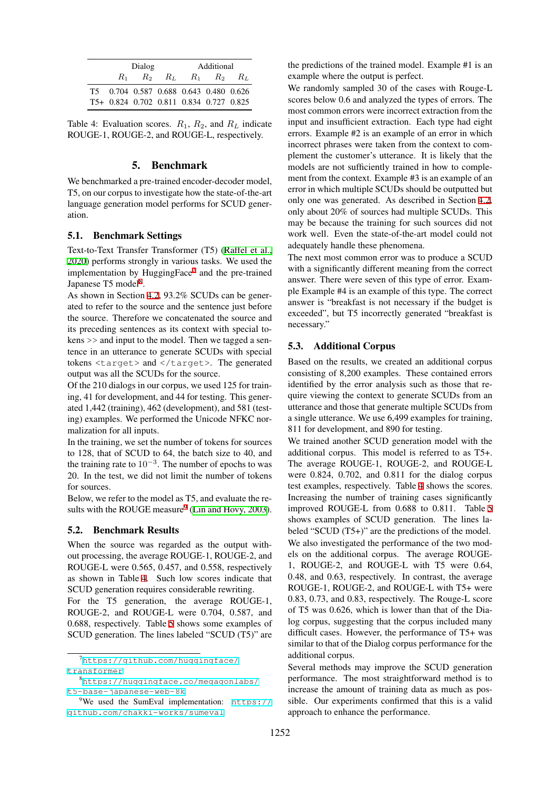|       | Dialog                                  |       | Additional |             |       |  |
|-------|-----------------------------------------|-------|------------|-------------|-------|--|
| $R_1$ | $R_2$                                   | $R_L$ |            | $R_1$ $R_2$ | -R.t. |  |
|       | T5 0.704 0.587 0.688 0.643 0.480 0.626  |       |            |             |       |  |
|       | T5+ 0.824 0.702 0.811 0.834 0.727 0.825 |       |            |             |       |  |

<span id="page-3-3"></span>Table 4: Evaluation scores.  $R_1$ ,  $R_2$ , and  $R_L$  indicate ROUGE-1, ROUGE-2, and ROUGE-L, respectively.

### 5. Benchmark

We benchmarked a pre-trained encoder-decoder model, T5, on our corpus to investigate how the state-of-the-art language generation model performs for SCUD generation.

#### 5.1. Benchmark Settings

Text-to-Text Transfer Transformer (T5) [\(Raffel et al.,](#page-6-5) [2020\)](#page-6-5) performs strongly in various tasks. We used the implementation by HuggingFace<sup>[7](#page-3-0)</sup> and the pre-trained Japanese T5 model<sup>[8](#page-3-1)</sup>.

As shown in Section [4.2,](#page-2-5) 93.2% SCUDs can be generated to refer to the source and the sentence just before the source. Therefore we concatenated the source and its preceding sentences as its context with special tokens >> and input to the model. Then we tagged a sentence in an utterance to generate SCUDs with special tokens <target> and </target>. The generated output was all the SCUDs for the source.

Of the 210 dialogs in our corpus, we used 125 for training, 41 for development, and 44 for testing. This generated 1,442 (training), 462 (development), and 581 (testing) examples. We performed the Unicode NFKC normalization for all inputs.

In the training, we set the number of tokens for sources to 128, that of SCUD to 64, the batch size to 40, and the training rate to 10*−*<sup>3</sup> . The number of epochs to was 20. In the test, we did not limit the number of tokens for sources.

Below, we refer to the model as T5, and evaluate the results with the ROUGE measure $9$  ([Lin and Hovy, 2003](#page-6-6)).

#### 5.2. Benchmark Results

When the source was regarded as the output without processing, the average ROUGE-1, ROUGE-2, and ROUGE-L were 0.565, 0.457, and 0.558, respectively as shown in Table [4](#page-3-3). Such low scores indicate that SCUD generation requires considerable rewriting.

For the T5 generation, the average ROUGE-1, ROUGE-2, and ROUGE-L were 0.704, 0.587, and 0.688, respectively. Table [5](#page-4-0) shows some examples of SCUD generation. The lines labeled "SCUD (T5)" are the predictions of the trained model. Example #1 is an example where the output is perfect.

We randomly sampled 30 of the cases with Rouge-L scores below 0.6 and analyzed the types of errors. The most common errors were incorrect extraction from the input and insufficient extraction. Each type had eight errors. Example #2 is an example of an error in which incorrect phrases were taken from the context to complement the customer's utterance. It is likely that the models are not sufficiently trained in how to complement from the context. Example #3 is an example of an error in which multiple SCUDs should be outputted but only one was generated. As described in Section [4.2](#page-2-5), only about 20% of sources had multiple SCUDs. This may be because the training for such sources did not work well. Even the state-of-the-art model could not adequately handle these phenomena.

The next most common error was to produce a SCUD with a significantly different meaning from the correct answer. There were seven of this type of error. Example Example #4 is an example of this type. The correct answer is "breakfast is not necessary if the budget is exceeded", but T5 incorrectly generated "breakfast is necessary."

#### 5.3. Additional Corpus

Based on the results, we created an additional corpus consisting of 8,200 examples. These contained errors identified by the error analysis such as those that require viewing the context to generate SCUDs from an utterance and those that generate multiple SCUDs from a single utterance. We use 6,499 examples for training, 811 for development, and 890 for testing.

We trained another SCUD generation model with the additional corpus. This model is referred to as T5+. The average ROUGE-1, ROUGE-2, and ROUGE-L were 0.824, 0.702, and 0.811 for the dialog corpus test examples, respectively. Table [4](#page-3-3) shows the scores. Increasing the number of training cases significantly improved ROUGE-L from 0.688 to 0.811. Table [5](#page-4-0) shows examples of SCUD generation. The lines labeled "SCUD (T5+)" are the predictions of the model. We also investigated the performance of the two models on the additional corpus. The average ROUGE-1, ROUGE-2, and ROUGE-L with T5 were 0.64, 0.48, and 0.63, respectively. In contrast, the average ROUGE-1, ROUGE-2, and ROUGE-L with T5+ were 0.83, 0.73, and 0.83, respectively. The Rouge-L score of T5 was 0.626, which is lower than that of the Dialog corpus, suggesting that the corpus included many difficult cases. However, the performance of T5+ was similar to that of the Dialog corpus performance for the additional corpus.

Several methods may improve the SCUD generation performance. The most straightforward method is to increase the amount of training data as much as possible. Our experiments confirmed that this is a valid approach to enhance the performance.

<span id="page-3-0"></span><sup>7</sup>[https://github.com/huggingface/](https://github.com/huggingface/transformer) [transformer](https://github.com/huggingface/transformer)

<span id="page-3-1"></span><sup>8</sup>[https://huggingface.co/megagonlabs/](https://huggingface.co/megagonlabs/t5-base-japanese-web-8k) [t5-base-japanese-web-8k](https://huggingface.co/megagonlabs/t5-base-japanese-web-8k)

<span id="page-3-2"></span><sup>&</sup>lt;sup>9</sup>We used the SumEval implementation:  $https://$ [github.com/chakki-works/sumeval](https://github.com/chakki-works/sumeval)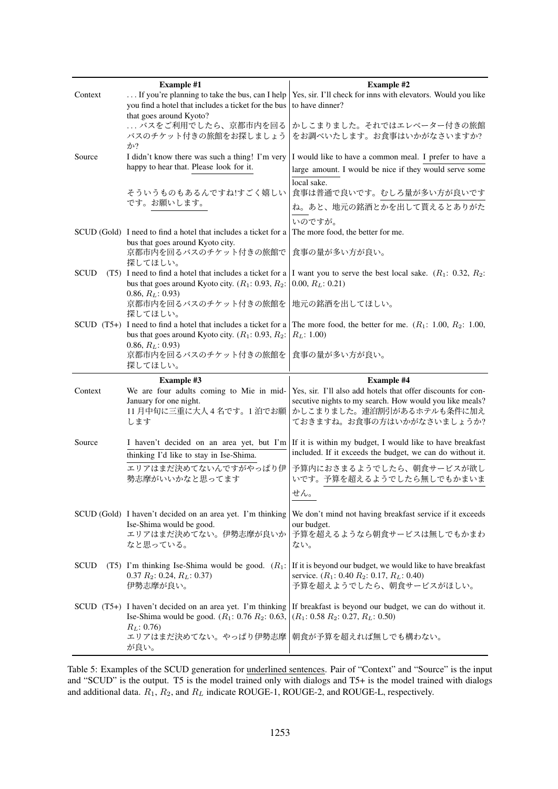|             | <b>Example #1</b>                                                                                               | <b>Example #2</b>                                                                 |
|-------------|-----------------------------------------------------------------------------------------------------------------|-----------------------------------------------------------------------------------|
| Context     | If you're planning to take the bus, can I help                                                                  | Yes, sir. I'll check for inns with elevators. Would you like                      |
|             | you find a hotel that includes a ticket for the bus<br>that goes around Kyoto?                                  | to have dinner?                                                                   |
|             | バスをご利用でしたら、京都市内を回る                                                                                              | かしこまりました。それではエレベーター付きの旅館                                                          |
|             | バスのチケット付きの旅館をお探しましょう<br>か?                                                                                      | をお調べいたします。お食事はいかがなさいますか?                                                          |
| Source      | I didn't know there was such a thing! I'm very                                                                  | I would like to have a common meal. I prefer to have a                            |
|             | happy to hear that. Please look for it.                                                                         | large amount. I would be nice if they would serve some<br>local sake.             |
|             | そういうものもあるんですね!すごく嬉しい                                                                                            | 食事は普通で良いです。むしろ量が多い方が良いです                                                          |
|             | です。お願いします。                                                                                                      | ね。あと、地元の銘酒とかを出して貰えるとありがた                                                          |
|             |                                                                                                                 | いのですが。                                                                            |
|             | SCUD (Gold) I need to find a hotel that includes a ticket for a<br>bus that goes around Kyoto city.             | The more food, the better for me.                                                 |
|             | 京都市内を回るバスのチケット付きの旅館で<br>探してほしい。                                                                                 | 食事の量が多い方が良い。                                                                      |
| <b>SCUD</b> | (T5) I need to find a hotel that includes a ticket for a<br>bus that goes around Kyoto city. $(R_1: 0.93, R_2:$ | I want you to serve the best local sake. $(R_1: 0.32, R_2:$<br>$0.00, R_L: 0.21)$ |
|             | $0.86, R_L: 0.93$                                                                                               |                                                                                   |
|             | 京都市内を回るバスのチケット付きの旅館を<br>探してほしい。                                                                                 | 地元の銘酒を出してほしい。                                                                     |
|             | $SCUD$ $(T5+)$ I need to find a hotel that includes a ticket for a                                              | The more food, the better for me. $(R_1: 1.00, R_2: 1.00,$                        |
|             | bus that goes around Kyoto city. $(R_1: 0.93, R_2:$                                                             | $R_L$ : 1.00)                                                                     |
|             | 0.86, $R_L$ : 0.93)<br>京都市内を回るバスのチケット付きの旅館を                                                                     | 食事の量が多い方が良い。                                                                      |
|             |                                                                                                                 |                                                                                   |
|             | 探してほしい。                                                                                                         |                                                                                   |
|             | <b>Example #3</b>                                                                                               | <b>Example #4</b>                                                                 |
| Context     | We are four adults coming to Mie in mid-                                                                        | Yes, sir. I'll also add hotels that offer discounts for con-                      |
|             | January for one night.                                                                                          | secutive nights to my search. How would you like meals?                           |
|             | 11月中旬に三重に大人4名です。1泊でお願<br>します                                                                                    | かしこまりました。連泊割引があるホテルも条件に加え<br>ておきますね。お食事の方はいかがなさいましょうか?                            |
|             |                                                                                                                 |                                                                                   |
| Source      | I haven't decided on an area yet, but I'm                                                                       | If it is within my budget, I would like to have breakfast                         |
|             | thinking I'd like to stay in Ise-Shima.                                                                         | included. If it exceeds the budget, we can do without it.                         |
|             | エリアはまだ決めてないんですがやっぱり伊<br>勢志摩がいいかなと思ってます                                                                          | 予算内におさまるようでしたら、朝食サービスが欲し<br>いです。予算を超えるようでしたら無しでもかまいま                              |
|             |                                                                                                                 | せん。                                                                               |
|             | SCUD (Gold) I haven't decided on an area yet. I'm thinking                                                      | We don't mind not having breakfast service if it exceeds                          |
|             | Ise-Shima would be good.                                                                                        | our budget.                                                                       |
|             | エリアはまだ決めてない。伊勢志摩が良いか<br>なと思っている。                                                                                | 予算を超えるようなら朝食サービスは無しでもかまわ<br>ない。                                                   |
|             |                                                                                                                 |                                                                                   |
| <b>SCUD</b> | (T5) I'm thinking Ise-Shima would be good. $(R_1$ :                                                             | If it is beyond our budget, we would like to have breakfast                       |
|             | $0.37 R_2$ : 0.24, $R_L$ : 0.37)<br>伊勢志摩が良い。                                                                    | service. $(R_1: 0.40 R_2: 0.17, R_L: 0.40)$<br>予算を超えようでしたら、朝食サービスがほしい。            |
|             |                                                                                                                 |                                                                                   |
|             | SCUD (T5+) I haven't decided on an area yet. I'm thinking                                                       | If breakfast is beyond our budget, we can do without it.                          |
|             | Ise-Shima would be good. $(R_1: 0.76 R_2: 0.63,$<br>$R_L$ : 0.76)                                               | $(R_1: 0.58 R_2: 0.27, R_L: 0.50)$                                                |
|             | エリアはまだ決めてない。やっぱり伊勢志摩<br>が良い。                                                                                    | 朝食が予算を超えれば無しでも構わない。                                                               |

<span id="page-4-0"></span>Table 5: Examples of the SCUD generation for underlined sentences. Pair of "Context" and "Source" is the input and "SCUD" is the output. T5 is the model trained only with dialogs and T5+ is the model trained with dialogs and additional data. *R*1, *R*2, and *R<sup>L</sup>* indicate ROUGE-1, ROUGE-2, and ROUGE-L, respectively.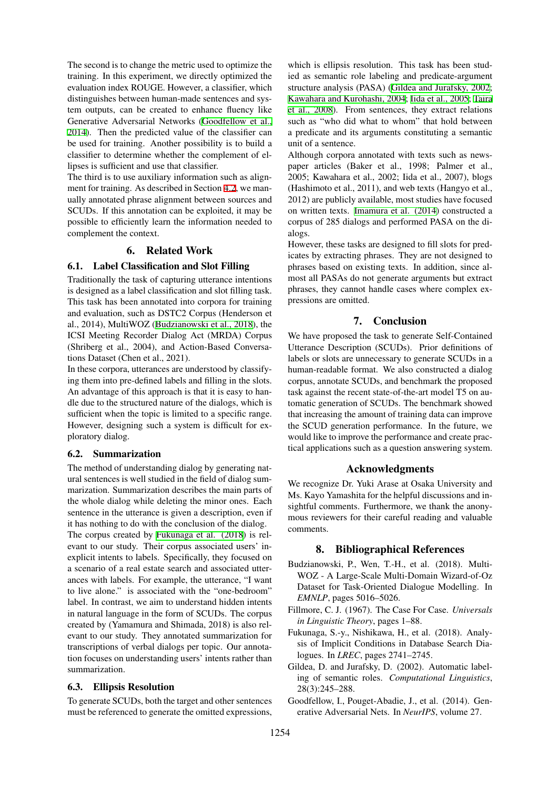The second is to change the metric used to optimize the training. In this experiment, we directly optimized the evaluation index ROUGE. However, a classifier, which distinguishes between human-made sentences and system outputs, can be created to enhance fluency like Generative Adversarial Networks ([Goodfellow et al.,](#page-5-2) [2014\)](#page-5-2). Then the predicted value of the classifier can be used for training. Another possibility is to build a classifier to determine whether the complement of ellipses is sufficient and use that classifier.

The third is to use auxiliary information such as alignment for training. As described in Section [4.2,](#page-2-5) we manually annotated phrase alignment between sources and SCUDs. If this annotation can be exploited, it may be possible to efficiently learn the information needed to complement the context.

# 6. Related Work

# 6.1. Label Classification and Slot Filling

Traditionally the task of capturing utterance intentions is designed as a label classification and slot filling task. This task has been annotated into corpora for training and evaluation, such as DSTC2 Corpus (Henderson et al., 2014), MultiWOZ ([Budzianowski et al., 2018\)](#page-5-0), the ICSI Meeting Recorder Dialog Act (MRDA) Corpus (Shriberg et al., 2004), and Action-Based Conversations Dataset (Chen et al., 2021).

In these corpora, utterances are understood by classifying them into pre-defined labels and filling in the slots. An advantage of this approach is that it is easy to handle due to the structured nature of the dialogs, which is sufficient when the topic is limited to a specific range. However, designing such a system is difficult for exploratory dialog.

#### 6.2. Summarization

The method of understanding dialog by generating natural sentences is well studied in the field of dialog summarization. Summarization describes the main parts of the whole dialog while deleting the minor ones. Each sentence in the utterance is given a description, even if it has nothing to do with the conclusion of the dialog. The corpus created by [Fukunaga et al. \(2018](#page-5-3)) is relevant to our study. Their corpus associated users' inexplicit intents to labels. Specifically, they focused on a scenario of a real estate search and associated utterances with labels. For example, the utterance, "I want to live alone." is associated with the "one-bedroom" label. In contrast, we aim to understand hidden intents in natural language in the form of SCUDs. The corpus created by (Yamamura and Shimada, 2018) is also relevant to our study. They annotated summarization for transcriptions of verbal dialogs per topic. Our annotation focuses on understanding users' intents rather than summarization.

#### 6.3. Ellipsis Resolution

To generate SCUDs, both the target and other sentences must be referenced to generate the omitted expressions,

which is ellipsis resolution. This task has been studied as semantic role labeling and predicate-argument structure analysis (PASA) ([Gildea and Jurafsky, 2002;](#page-5-4) [Kawahara and Kurohashi, 2004;](#page-6-7) [Iida et al., 2005](#page-6-8); [Taira](#page-6-9) [et al., 2008](#page-6-9)). From sentences, they extract relations such as "who did what to whom" that hold between a predicate and its arguments constituting a semantic unit of a sentence.

Although corpora annotated with texts such as newspaper articles (Baker et al., 1998; Palmer et al., 2005; Kawahara et al., 2002; Iida et al., 2007), blogs (Hashimoto et al., 2011), and web texts (Hangyo et al., 2012) are publicly available, most studies have focused on written texts. [Imamura et al. \(2014\)](#page-6-10) constructed a corpus of 285 dialogs and performed PASA on the dialogs.

However, these tasks are designed to fill slots for predicates by extracting phrases. They are not designed to phrases based on existing texts. In addition, since almost all PASAs do not generate arguments but extract phrases, they cannot handle cases where complex expressions are omitted.

# 7. Conclusion

We have proposed the task to generate Self-Contained Utterance Description (SCUDs). Prior definitions of labels or slots are unnecessary to generate SCUDs in a human-readable format. We also constructed a dialog corpus, annotate SCUDs, and benchmark the proposed task against the recent state-of-the-art model T5 on automatic generation of SCUDs. The benchmark showed that increasing the amount of training data can improve the SCUD generation performance. In the future, we would like to improve the performance and create practical applications such as a question answering system.

# Acknowledgments

We recognize Dr. Yuki Arase at Osaka University and Ms. Kayo Yamashita for the helpful discussions and insightful comments. Furthermore, we thank the anonymous reviewers for their careful reading and valuable comments.

#### 8. Bibliographical References

- <span id="page-5-0"></span>Budzianowski, P., Wen, T.-H., et al. (2018). Multi-WOZ - A Large-Scale Multi-Domain Wizard-of-Oz Dataset for Task-Oriented Dialogue Modelling. In *EMNLP*, pages 5016–5026.
- <span id="page-5-1"></span>Fillmore, C. J. (1967). The Case For Case. *Universals in Linguistic Theory*, pages 1–88.
- <span id="page-5-3"></span>Fukunaga, S.-y., Nishikawa, H., et al. (2018). Analysis of Implicit Conditions in Database Search Dialogues. In *LREC*, pages 2741–2745.
- <span id="page-5-4"></span>Gildea, D. and Jurafsky, D. (2002). Automatic labeling of semantic roles. *Computational Linguistics*, 28(3):245–288.
- <span id="page-5-2"></span>Goodfellow, I., Pouget-Abadie, J., et al. (2014). Generative Adversarial Nets. In *NeurIPS*, volume 27.